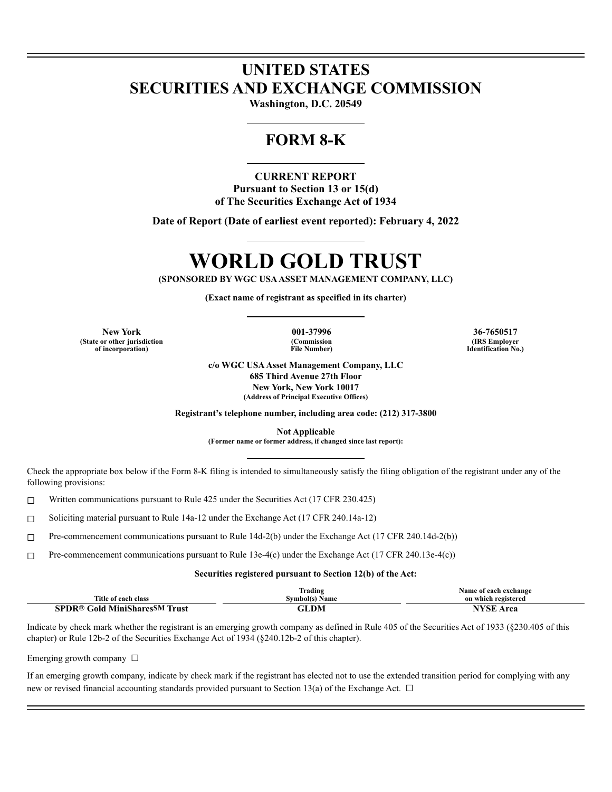### **UNITED STATES SECURITIES AND EXCHANGE COMMISSION**

**Washington, D.C. 20549**

### **FORM 8-K**

#### **CURRENT REPORT**

**Pursuant to Section 13 or 15(d) of The Securities Exchange Act of 1934**

**Date of Report (Date of earliest event reported): February 4, 2022**

### **WORLD GOLD TRUST**

**(SPONSORED BY WGC USA ASSET MANAGEMENT COMPANY, LLC)**

**(Exact name of registrant as specified in its charter)**

**New York 001-37996 36-7650517 (State or other jurisdiction of incorporation)**

**(Commission File Number)**

**(IRS Employer Identification No.)**

**c/o WGC USA Asset Management Company, LLC 685 Third Avenue 27th Floor New York, New York 10017 (Address of Principal Executive Offices)**

**Registrant's telephone number, including area code: (212) 317-3800**

**Not Applicable**

**(Former name or former address, if changed since last report):**

Check the appropriate box below if the Form 8-K filing is intended to simultaneously satisfy the filing obligation of the registrant under any of the following provisions:

☐ Written communications pursuant to Rule 425 under the Securities Act (17 CFR 230.425)

☐ Soliciting material pursuant to Rule 14a-12 under the Exchange Act (17 CFR 240.14a-12)

☐ Pre-commencement communications pursuant to Rule 14d-2(b) under the Exchange Act (17 CFR 240.14d-2(b))

☐ Pre-commencement communications pursuant to Rule 13e-4(c) under the Exchange Act (17 CFR 240.13e-4(c))

#### **Securities registered pursuant to Section 12(b) of the Act:**

|                                      | Frading               | Name of each exchange |
|--------------------------------------|-----------------------|-----------------------|
| Title of each class                  | <b>Symbol(s)</b> Name | on which registered   |
| <b>SPDR® Gold MiniSharesSM Trust</b> | <b>GLDM</b>           | <b>NYSE Arca</b>      |

Indicate by check mark whether the registrant is an emerging growth company as defined in Rule 405 of the Securities Act of 1933 (§230.405 of this chapter) or Rule 12b-2 of the Securities Exchange Act of 1934 (§240.12b-2 of this chapter).

Emerging growth company  $\Box$ 

If an emerging growth company, indicate by check mark if the registrant has elected not to use the extended transition period for complying with any new or revised financial accounting standards provided pursuant to Section 13(a) of the Exchange Act.  $\Box$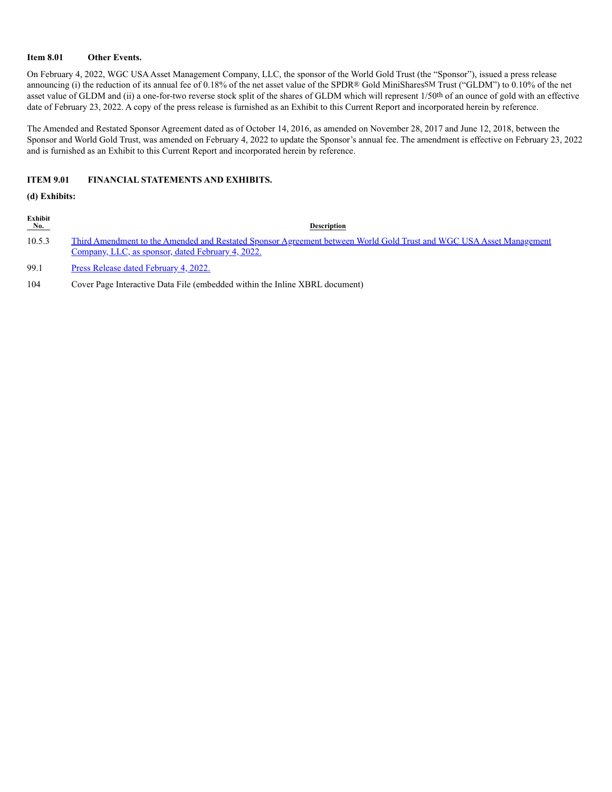#### **Item 8.01 Other Events.**

On February 4, 2022, WGC USA Asset Management Company, LLC, the sponsor of the World Gold Trust (the "Sponsor"), issued a press release announcing (i) the reduction of its annual fee of 0.18% of the net asset value of the SPDR® Gold MiniSharesSM Trust ("GLDM") to 0.10% of the net asset value of GLDM and (ii) a one-for-two reverse stock split of the shares of GLDM which will represent 1/50th of an ounce of gold with an effective date of February 23, 2022. A copy of the press release is furnished as an Exhibit to this Current Report and incorporated herein by reference.

The Amended and Restated Sponsor Agreement dated as of October 14, 2016, as amended on November 28, 2017 and June 12, 2018, between the Sponsor and World Gold Trust, was amended on February 4, 2022 to update the Sponsor's annual fee. The amendment is effective on February 23, 2022 and is furnished as an Exhibit to this Current Report and incorporated herein by reference.

#### **ITEM 9.01 FINANCIAL STATEMENTS AND EXHIBITS.**

**(d) Exhibits:**

**Exhibit**

| ехиня<br>No. | <b>Description</b>                                                                                                                                                              |
|--------------|---------------------------------------------------------------------------------------------------------------------------------------------------------------------------------|
| 10.5.3       | Third Amendment to the Amended and Restated Sponsor Agreement between World Gold Trust and WGC USA Asset Management<br><u>Company, LLC, as sponsor, dated February 4, 2022.</u> |
| 99.1         | <u>Press Release dated February 4, 2022.</u>                                                                                                                                    |

104 Cover Page Interactive Data File (embedded within the Inline XBRL document)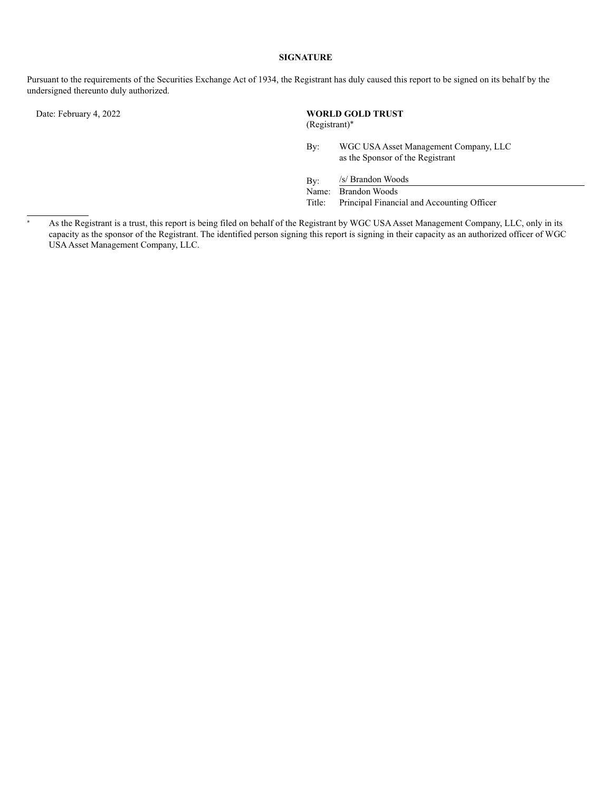#### **SIGNATURE**

Pursuant to the requirements of the Securities Exchange Act of 1934, the Registrant has duly caused this report to be signed on its behalf by the undersigned thereunto duly authorized.

Date: February 4, 2022 **WORLD GOLD TRUST** (Registrant)\*

> By: WGC USA Asset Management Company, LLC as the Sponsor of the Registrant

By: /s/ Brandon Woods

 Name: Brandon Woods Title: Principal Financial and Accounting Officer

<sup>\*</sup> As the Registrant is a trust, this report is being filed on behalf of the Registrant by WGC USA Asset Management Company, LLC, only in its capacity as the sponsor of the Registrant. The identified person signing this report is signing in their capacity as an authorized officer of WGC USA Asset Management Company, LLC.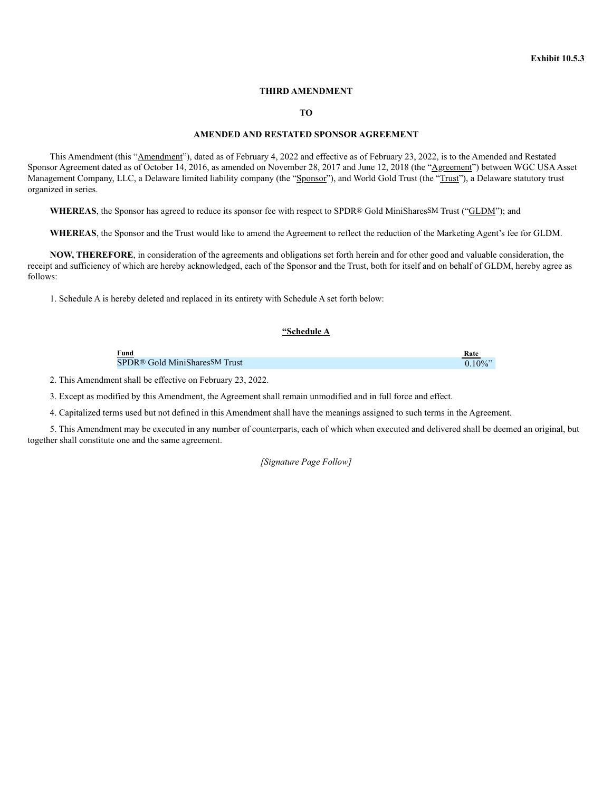#### **THIRD AMENDMENT**

**TO**

#### **AMENDED AND RESTATED SPONSOR AGREEMENT**

This Amendment (this "Amendment"), dated as of February 4, 2022 and effective as of February 23, 2022, is to the Amended and Restated Sponsor Agreement dated as of October 14, 2016, as amended on November 28, 2017 and June 12, 2018 (the "Agreement") between WGC USA Asset Management Company, LLC, a Delaware limited liability company (the "Sponsor"), and World Gold Trust (the "Trust"), a Delaware statutory trust organized in series.

**WHEREAS**, the Sponsor has agreed to reduce its sponsor fee with respect to SPDR® Gold MiniSharesSM Trust ("GLDM"); and

**WHEREAS**, the Sponsor and the Trust would like to amend the Agreement to reflect the reduction of the Marketing Agent's fee for GLDM.

**NOW, THEREFORE**, in consideration of the agreements and obligations set forth herein and for other good and valuable consideration, the receipt and sufficiency of which are hereby acknowledged, each of the Sponsor and the Trust, both for itself and on behalf of GLDM, hereby agree as follows:

1. Schedule A is hereby deleted and replaced in its entirety with Schedule A set forth below:

#### **"Schedule A**

**Fund Rate** SPDR® Gold MiniSharesSM Trust 0.10%"

2. This Amendment shall be effective on February 23, 2022.

3. Except as modified by this Amendment, the Agreement shall remain unmodified and in full force and effect.

4. Capitalized terms used but not defined in this Amendment shall have the meanings assigned to such terms in the Agreement.

5. This Amendment may be executed in any number of counterparts, each of which when executed and delivered shall be deemed an original, but together shall constitute one and the same agreement.

*[Signature Page Follow]*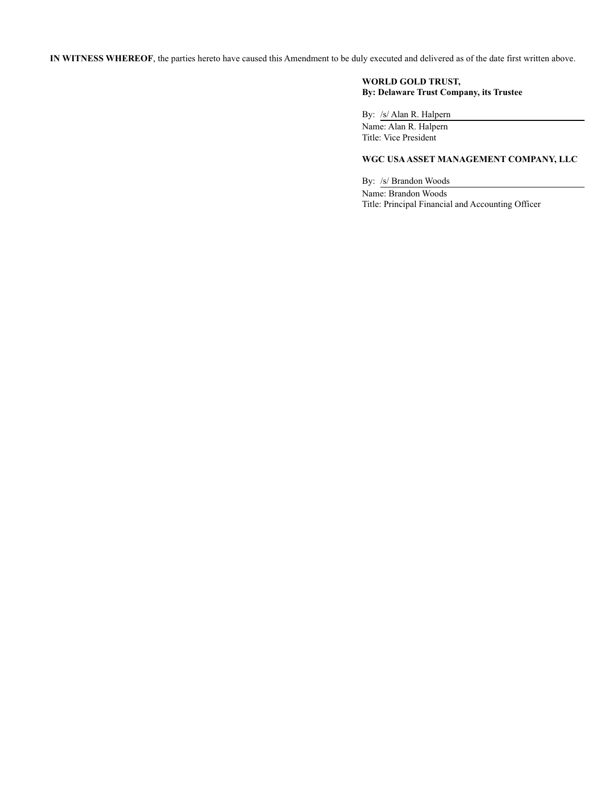**IN WITNESS WHEREOF**, the parties hereto have caused this Amendment to be duly executed and delivered as of the date first written above.

#### **WORLD GOLD TRUST, By: Delaware Trust Company, its Trustee**

By: /s/ Alan R. Halpern

Name: Alan R. Halpern Title: Vice President

#### **WGC USA ASSET MANAGEMENT COMPANY, LLC**

By: /s/ Brandon Woods Name: Brandon Woods Title: Principal Financial and Accounting Officer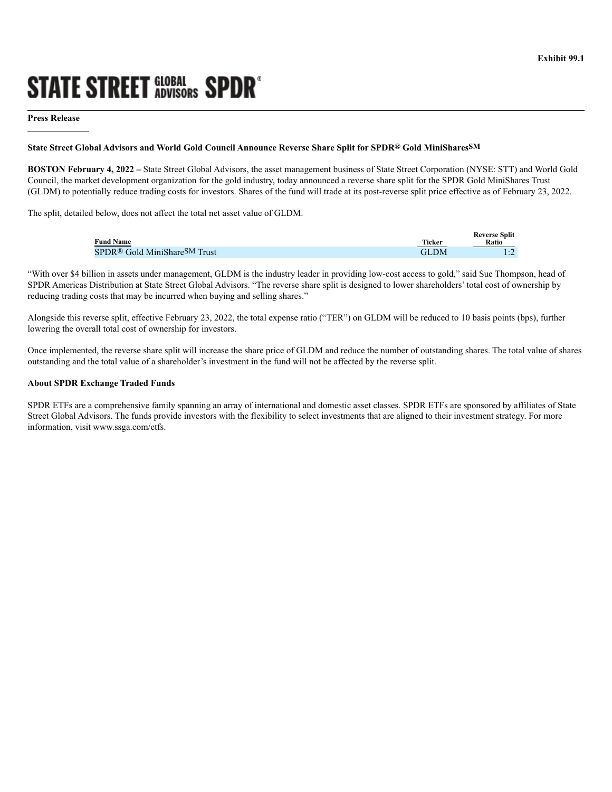#### **Press Release**

#### **State Street Global Advisors and World Gold Council Announce Reverse Share Split for SPDR® Gold MiniSharesSM**

**BOSTON February 4, 2022 –** State Street Global Advisors, the asset management business of State Street Corporation (NYSE: STT) and World Gold Council, the market development organization for the gold industry, today announced a reverse share split for the SPDR Gold MiniShares Trust (GLDM) to potentially reduce trading costs for investors. Shares of the fund will trade at its post-reverse split price effective as of February 23, 2022.

The split, detailed below, does not affect the total net asset value of GLDM.

| <b>Fund Name</b>             | <b>Ticker</b> | <b>Reverse Split</b><br>Ratio |
|------------------------------|---------------|-------------------------------|
| SPDR® Gold MiniShareSM Trust | <b>GLDM</b>   | .                             |

"With over \$4 billion in assets under management, GLDM is the industry leader in providing low-cost access to gold," said Sue Thompson, head of SPDR Americas Distribution at State Street Global Advisors. "The reverse share split is designed to lower shareholders' total cost of ownership by reducing trading costs that may be incurred when buying and selling shares."

Alongside this reverse split, effective February 23, 2022, the total expense ratio ("TER") on GLDM will be reduced to 10 basis points (bps), further lowering the overall total cost of ownership for investors.

Once implemented, the reverse share split will increase the share price of GLDM and reduce the number of outstanding shares. The total value of shares outstanding and the total value of a shareholder's investment in the fund will not be affected by the reverse split.

#### **About SPDR Exchange Traded Funds**

SPDR ETFs are a comprehensive family spanning an array of international and domestic asset classes. SPDR ETFs are sponsored by affiliates of State Street Global Advisors. The funds provide investors with the flexibility to select investments that are aligned to their investment strategy. For more information, visit www.ssga.com/etfs.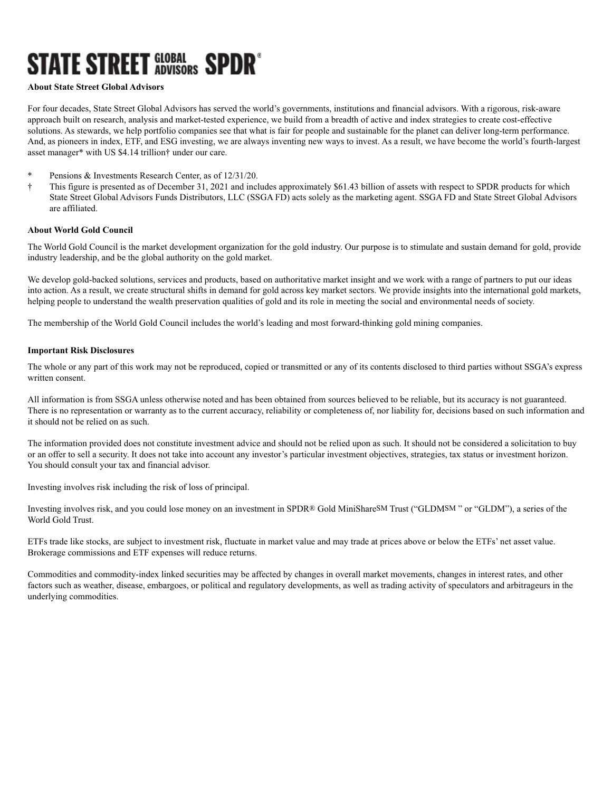#### **About State Street Global Advisors**

For four decades, State Street Global Advisors has served the world's governments, institutions and financial advisors. With a rigorous, risk-aware approach built on research, analysis and market-tested experience, we build from a breadth of active and index strategies to create cost-effective solutions. As stewards, we help portfolio companies see that what is fair for people and sustainable for the planet can deliver long-term performance. And, as pioneers in index, ETF, and ESG investing, we are always inventing new ways to invest. As a result, we have become the world's fourth-largest asset manager\* with US \$4.14 trillion† under our care.

- \* Pensions & Investments Research Center, as of 12/31/20.
- † This figure is presented as of December 31, 2021 and includes approximately \$61.43 billion of assets with respect to SPDR products for which State Street Global Advisors Funds Distributors, LLC (SSGA FD) acts solely as the marketing agent. SSGA FD and State Street Global Advisors are affiliated.

#### **About World Gold Council**

The World Gold Council is the market development organization for the gold industry. Our purpose is to stimulate and sustain demand for gold, provide industry leadership, and be the global authority on the gold market.

We develop gold-backed solutions, services and products, based on authoritative market insight and we work with a range of partners to put our ideas into action. As a result, we create structural shifts in demand for gold across key market sectors. We provide insights into the international gold markets, helping people to understand the wealth preservation qualities of gold and its role in meeting the social and environmental needs of society.

The membership of the World Gold Council includes the world's leading and most forward-thinking gold mining companies.

#### **Important Risk Disclosures**

The whole or any part of this work may not be reproduced, copied or transmitted or any of its contents disclosed to third parties without SSGA's express written consent.

All information is from SSGA unless otherwise noted and has been obtained from sources believed to be reliable, but its accuracy is not guaranteed. There is no representation or warranty as to the current accuracy, reliability or completeness of, nor liability for, decisions based on such information and it should not be relied on as such.

The information provided does not constitute investment advice and should not be relied upon as such. It should not be considered a solicitation to buy or an offer to sell a security. It does not take into account any investor's particular investment objectives, strategies, tax status or investment horizon. You should consult your tax and financial advisor.

Investing involves risk including the risk of loss of principal.

Investing involves risk, and you could lose money on an investment in SPDR® Gold MiniShareSM Trust ("GLDMSM " or "GLDM"), a series of the World Gold Trust.

ETFs trade like stocks, are subject to investment risk, fluctuate in market value and may trade at prices above or below the ETFs' net asset value. Brokerage commissions and ETF expenses will reduce returns.

Commodities and commodity-index linked securities may be affected by changes in overall market movements, changes in interest rates, and other factors such as weather, disease, embargoes, or political and regulatory developments, as well as trading activity of speculators and arbitrageurs in the underlying commodities.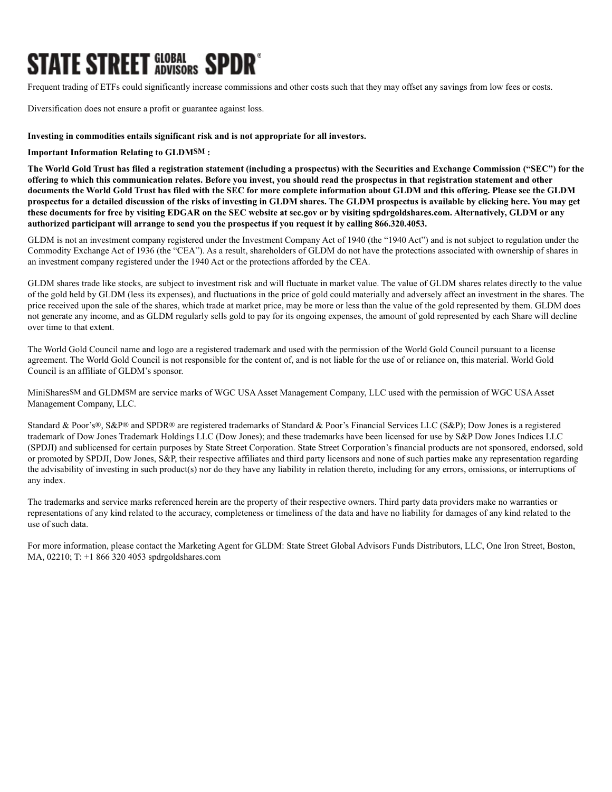Frequent trading of ETFs could significantly increase commissions and other costs such that they may offset any savings from low fees or costs.

Diversification does not ensure a profit or guarantee against loss.

#### **Investing in commodities entails significant risk and is not appropriate for all investors.**

#### **Important Information Relating to GLDMSM :**

**The World Gold Trust has filed a registration statement (including a prospectus) with the Securities and Exchange Commission ("SEC") for the offering to which this communication relates. Before you invest, you should read the prospectus in that registration statement and other documents the World Gold Trust has filed with the SEC for more complete information about GLDM and this offering. Please see the GLDM prospectus for a detailed discussion of the risks of investing in GLDM shares. The GLDM prospectus is available by clicking here. You may get these documents for free by visiting EDGAR on the SEC website at sec.gov or by visiting spdrgoldshares.com. Alternatively, GLDM or any authorized participant will arrange to send you the prospectus if you request it by calling 866.320.4053.**

GLDM is not an investment company registered under the Investment Company Act of 1940 (the "1940 Act") and is not subject to regulation under the Commodity Exchange Act of 1936 (the "CEA"). As a result, shareholders of GLDM do not have the protections associated with ownership of shares in an investment company registered under the 1940 Act or the protections afforded by the CEA.

GLDM shares trade like stocks, are subject to investment risk and will fluctuate in market value. The value of GLDM shares relates directly to the value of the gold held by GLDM (less its expenses), and fluctuations in the price of gold could materially and adversely affect an investment in the shares. The price received upon the sale of the shares, which trade at market price, may be more or less than the value of the gold represented by them. GLDM does not generate any income, and as GLDM regularly sells gold to pay for its ongoing expenses, the amount of gold represented by each Share will decline over time to that extent.

The World Gold Council name and logo are a registered trademark and used with the permission of the World Gold Council pursuant to a license agreement. The World Gold Council is not responsible for the content of, and is not liable for the use of or reliance on, this material. World Gold Council is an affiliate of GLDM's sponsor.

MiniSharesSM and GLDMSM are service marks of WGC USA Asset Management Company, LLC used with the permission of WGC USA Asset Management Company, LLC.

Standard & Poor's®, S&P® and SPDR® are registered trademarks of Standard & Poor's Financial Services LLC (S&P); Dow Jones is a registered trademark of Dow Jones Trademark Holdings LLC (Dow Jones); and these trademarks have been licensed for use by S&P Dow Jones Indices LLC (SPDJI) and sublicensed for certain purposes by State Street Corporation. State Street Corporation's financial products are not sponsored, endorsed, sold or promoted by SPDJI, Dow Jones, S&P, their respective affiliates and third party licensors and none of such parties make any representation regarding the advisability of investing in such product(s) nor do they have any liability in relation thereto, including for any errors, omissions, or interruptions of any index.

The trademarks and service marks referenced herein are the property of their respective owners. Third party data providers make no warranties or representations of any kind related to the accuracy, completeness or timeliness of the data and have no liability for damages of any kind related to the use of such data.

For more information, please contact the Marketing Agent for GLDM: State Street Global Advisors Funds Distributors, LLC, One Iron Street, Boston, MA, 02210; T: +1 866 320 4053 spdrgoldshares.com